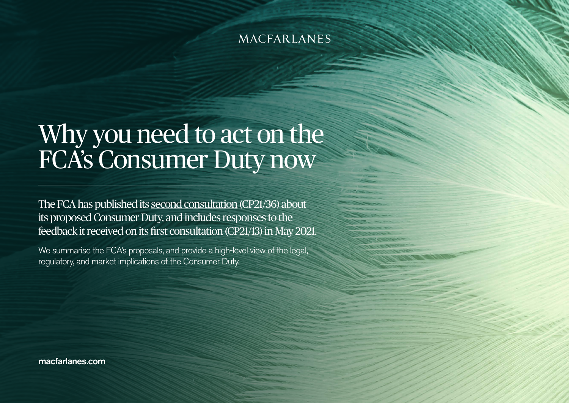# Why you need to act on the FCA's Consumer Duty now

The FCA has published its [second consultation](https://www.fca.org.uk/publication/consultation/cp21-36.pdf) (CP21/36) about its proposed Consumer Duty, and includes responses to the feedback it received on its [first consultation](https://www.fca.org.uk/publication/consultation/cp21-13.pdf) (CP21/13) in May 2021.

We summarise the FCA's proposals, and provide a high-level view of the legal, regulatory, and market implications of the Consumer Duty.

macfarlanes.com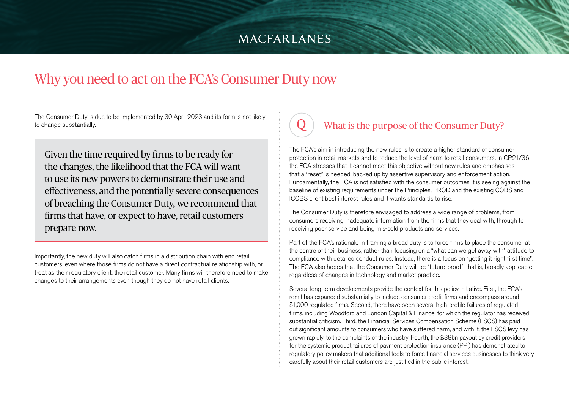# Why you need to act on the FCA's Consumer Duty now

The Consumer Duty is due to be implemented by 30 April 2023 and its form is not likely to change substantially.

Given the time required by firms to be ready for the changes, the likelihood that the FCA will want to use its new powers to demonstrate their use and effectiveness, and the potentially severe consequences of breaching the Consumer Duty, we recommend that firms that have, or expect to have, retail customers prepare now.

Importantly, the new duty will also catch firms in a distribution chain with end retail customers, even where those firms do not have a direct contractual relationship with, or treat as their regulatory client, the retail customer. Many firms will therefore need to make changes to their arrangements even though they do not have retail clients.

# What is the purpose of the Consumer Duty?

The FCA's aim in introducing the new rules is to create a higher standard of consumer protection in retail markets and to reduce the level of harm to retail consumers. In CP21/36 the FCA stresses that it cannot meet this objective without new rules and emphasises that a "reset" is needed, backed up by assertive supervisory and enforcement action. Fundamentally, the FCA is not satisfied with the consumer outcomes it is seeing against the baseline of existing requirements under the Principles, PROD and the existing COBS and ICOBS client best interest rules and it wants standards to rise.

The Consumer Duty is therefore envisaged to address a wide range of problems, from consumers receiving inadequate information from the firms that they deal with, through to receiving poor service and being mis-sold products and services.

Part of the FCA's rationale in framing a broad duty is to force firms to place the consumer at the centre of their business, rather than focusing on a "what can we get away with" attitude to compliance with detailed conduct rules. Instead, there is a focus on "getting it right first time". The FCA also hopes that the Consumer Duty will be "future-proof"; that is, broadly applicable regardless of changes in technology and market practice.

Several long-term developments provide the context for this policy initiative. First, the FCA's remit has expanded substantially to include consumer credit firms and encompass around 51,000 regulated firms. Second, there have been several high-profile failures of regulated firms, including Woodford and London Capital & Finance, for which the regulator has received substantial criticism. Third, the Financial Services Compensation Scheme (FSCS) has paid out significant amounts to consumers who have suffered harm, and with it, the FSCS levy has grown rapidly, to the complaints of the industry. Fourth, the £38bn payout by credit providers for the systemic product failures of payment protection insurance (PPI) has demonstrated to regulatory policy makers that additional tools to force financial services businesses to think very carefully about their retail customers are justified in the public interest.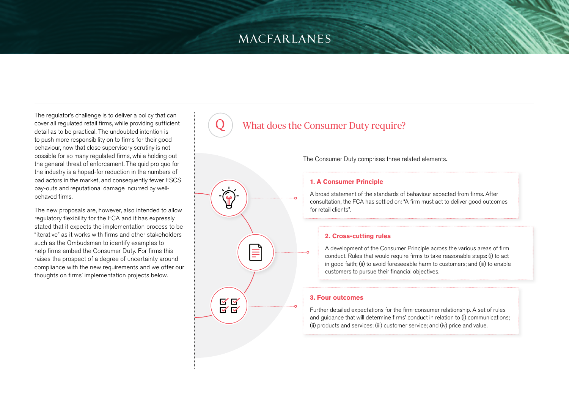The regulator's challenge is to deliver a policy that can cover all regulated retail firms, while providing sufficient detail as to be practical. The undoubted intention is to push more responsibility on to firms for their good behaviour, now that close supervisory scrutiny is not possible for so many regulated firms, while holding out the general threat of enforcement. The quid pro quo for the industry is a hoped-for reduction in the numbers of bad actors in the market, and consequently fewer FSCS pay-outs and reputational damage incurred by wellbehaved firms.

The new proposals are, however, also intended to allow regulatory flexibility for the FCA and it has expressly stated that it expects the implementation process to be "iterative" as it works with firms and other stakeholders such as the Ombudsman to identify examples to help firms embed the Consumer Duty. For firms this raises the prospect of a degree of uncertainty around compliance with the new requirements and we offer our thoughts on firms' implementation projects below.

### What does the Consumer Duty require?



The Consumer Duty comprises three related elements.

#### **1. A Consumer Principle**

A broad statement of the standards of behaviour expected from firms. After consultation, the FCA has settled on: "A firm must act to deliver good outcomes for retail clients".

### **2. Cross-cutting rules**

A development of the Consumer Principle across the various areas of firm conduct. Rules that would require firms to take reasonable steps: (i) to act in good faith; (ii) to avoid foreseeable harm to customers; and (iii) to enable customers to pursue their financial objectives.

#### **3. Four outcomes**

Further detailed expectations for the firm-consumer relationship. A set of rules and guidance that will determine firms' conduct in relation to (i) communications; (ii) products and services; (iii) customer service; and (iv) price and value.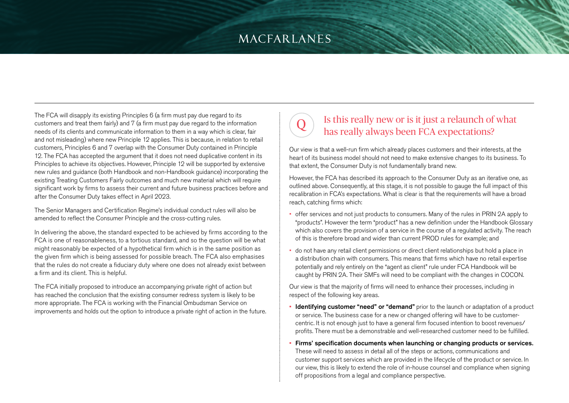The FCA will disapply its existing Principles 6 (a firm must pay due regard to its customers and treat them fairly) and 7 (a firm must pay due regard to the information needs of its clients and communicate information to them in a way which is clear, fair and not misleading) where new Principle 12 applies. This is because, in relation to retail customers, Principles 6 and 7 overlap with the Consumer Duty contained in Principle 12. The FCA has accepted the argument that it does not need duplicative content in its Principles to achieve its objectives. However, Principle 12 will be supported by extensive new rules and guidance (both Handbook and non-Handbook guidance) incorporating the existing Treating Customers Fairly outcomes and much new material which will require significant work by firms to assess their current and future business practices before and after the Consumer Duty takes effect in April 2023.

The Senior Managers and Certification Regime's individual conduct rules will also be amended to reflect the Consumer Principle and the cross-cutting rules.

In delivering the above, the standard expected to be achieved by firms according to the FCA is one of reasonableness, to a tortious standard, and so the question will be what might reasonably be expected of a hypothetical firm which is in the same position as the given firm which is being assessed for possible breach. The FCA also emphasises that the rules do not create a fiduciary duty where one does not already exist between a firm and its client. This is helpful.

The FCA initially proposed to introduce an accompanying private right of action but has reached the conclusion that the existing consumer redress system is likely to be more appropriate. The FCA is working with the Financial Ombudsman Service on improvements and holds out the option to introduce a private right of action in the future.

### Is this really new or is it just a relaunch of what has really always been FCA expectations?

Our view is that a well-run firm which already places customers and their interests, at the heart of its business model should not need to make extensive changes to its business. To that extent, the Consumer Duty is not fundamentally brand new.

However, the FCA has described its approach to the Consumer Duty as an iterative one, as outlined above. Consequently, at this stage, it is not possible to gauge the full impact of this recalibration in FCA's expectations. What is clear is that the requirements will have a broad reach, catching firms which:

- offer services and not just products to consumers. Many of the rules in PRIN 2A apply to "products". However the term "product" has a new definition under the Handbook Glossary which also covers the provision of a service in the course of a regulated activity. The reach of this is therefore broad and wider than current PROD rules for example; and
- do not have any retail client permissions or direct client relationships but hold a place in a distribution chain with consumers. This means that firms which have no retail expertise potentially and rely entirely on the "agent as client" rule under FCA Handbook will be caught by PRIN 2A. Their SMFs will need to be compliant with the changes in COCON.

Our view is that the majority of firms will need to enhance their processes, including in respect of the following key areas.

- **Identifying customer "need" or "demand"** prior to the launch or adaptation of a product or service. The business case for a new or changed offering will have to be customercentric. It is not enough just to have a general firm focused intention to boost revenues/ profits. There must be a demonstrable and well-researched customer need to be fulfilled.
- Firms' specification documents when launching or changing products or services. These will need to assess in detail all of the steps or actions, communications and customer support services which are provided in the lifecycle of the product or service. In our view, this is likely to extend the role of in-house counsel and compliance when signing off propositions from a legal and compliance perspective.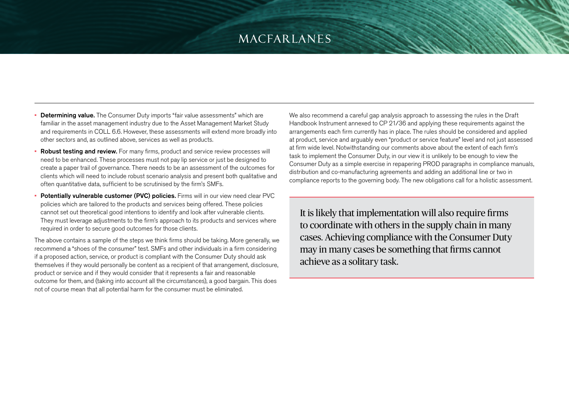- **Determining value.** The Consumer Duty imports "fair value assessments" which are familiar in the asset management industry due to the Asset Management Market Study and requirements in COLL 6.6. However, these assessments will extend more broadly into other sectors and, as outlined above, services as well as products.
- Robust testing and review. For many firms, product and service review processes will need to be enhanced. These processes must not pay lip service or just be designed to create a paper trail of governance. There needs to be an assessment of the outcomes for clients which will need to include robust scenario analysis and present both qualitative and often quantitative data, sufficient to be scrutinised by the firm's SMFs.
- Potentially vulnerable customer (PVC) policies. Firms will in our view need clear PVC policies which are tailored to the products and services being offered. These policies cannot set out theoretical good intentions to identify and look after vulnerable clients. They must leverage adjustments to the firm's approach to its products and services where required in order to secure good outcomes for those clients.

The above contains a sample of the steps we think firms should be taking. More generally, we recommend a "shoes of the consumer" test. SMFs and other individuals in a firm considering if a proposed action, service, or product is compliant with the Consumer Duty should ask themselves if they would personally be content as a recipient of that arrangement, disclosure, product or service and if they would consider that it represents a fair and reasonable outcome for them, and (taking into account all the circumstances), a good bargain. This does not of course mean that all potential harm for the consumer must be eliminated.

We also recommend a careful gap analysis approach to assessing the rules in the Draft Handbook Instrument annexed to CP 21/36 and applying these requirements against the arrangements each firm currently has in place. The rules should be considered and applied at product, service and arguably even "product or service feature" level and not just assessed at firm wide level. Notwithstanding our comments above about the extent of each firm's task to implement the Consumer Duty, in our view it is unlikely to be enough to view the Consumer Duty as a simple exercise in repapering PROD paragraphs in compliance manuals, distribution and co-manufacturing agreements and adding an additional line or two in compliance reports to the governing body. The new obligations call for a holistic assessment.

It is likely that implementation will also require firms to coordinate with others in the supply chain in many cases. Achieving compliance with the Consumer Duty may in many cases be something that firms cannot achieve as a solitary task.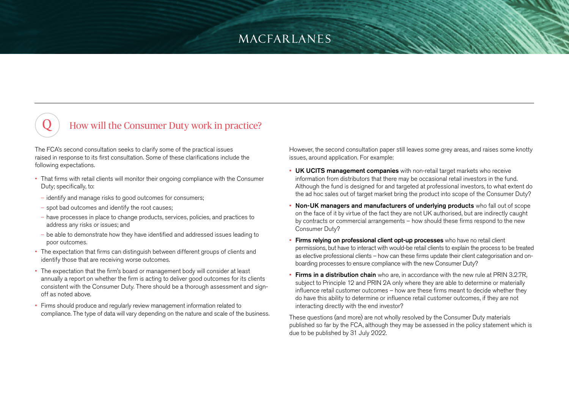### How will the Consumer Duty work in practice?

The FCA's second consultation seeks to clarify some of the practical issues raised in response to its first consultation. Some of these clarifications include the following expectations.

- That firms with retail clients will monitor their ongoing compliance with the Consumer Duty; specifically, to:
- identify and manage risks to good outcomes for consumers;
- spot bad outcomes and identify the root causes;
- have processes in place to change products, services, policies, and practices to address any risks or issues; and
- be able to demonstrate how they have identified and addressed issues leading to poor outcomes.
- The expectation that firms can distinguish between different groups of clients and identify those that are receiving worse outcomes.
- The expectation that the firm's board or management body will consider at least annually a report on whether the firm is acting to deliver good outcomes for its clients consistent with the Consumer Duty. There should be a thorough assessment and signoff as noted above.
- Firms should produce and regularly review management information related to compliance. The type of data will vary depending on the nature and scale of the business.

However, the second consultation paper still leaves some grey areas, and raises some knotty issues, around application. For example:

- UK UCITS management companies with non-retail target markets who receive information from distributors that there may be occasional retail investors in the fund. Although the fund is designed for and targeted at professional investors, to what extent do the ad hoc sales out of target market bring the product into scope of the Consumer Duty?
- Non-UK managers and manufacturers of underlying products who fall out of scope on the face of it by virtue of the fact they are not UK authorised, but are indirectly caught by contracts or commercial arrangements – how should these firms respond to the new Consumer Duty?
- **Firms relying on professional client opt-up processes** who have no retail client permissions, but have to interact with would-be retail clients to explain the process to be treated as elective professional clients – how can these firms update their client categorisation and onboarding processes to ensure compliance with the new Consumer Duty?
- **Firms in a distribution chain** who are, in accordance with the new rule at PRIN 3.2.7R. subject to Principle 12 and PRIN 2A only where they are able to determine or materially influence retail customer outcomes – how are these firms meant to decide whether they do have this ability to determine or influence retail customer outcomes, if they are not interacting directly with the end investor?

These questions (and more) are not wholly resolved by the Consumer Duty materials published so far by the FCA, although they may be assessed in the policy statement which is due to be published by 31 July 2022.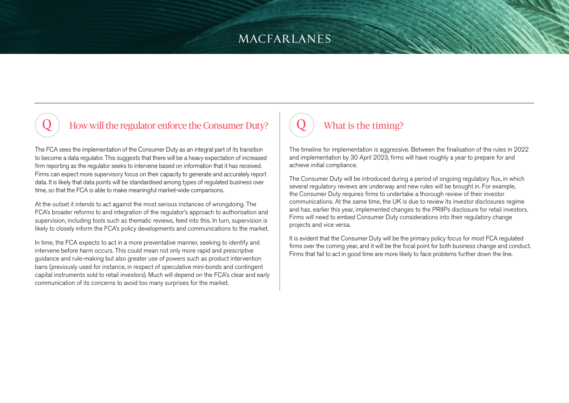### How will the regulator enforce the Consumer Duty?

The FCA sees the implementation of the Consumer Duty as an integral part of its transition to become a data regulator. This suggests that there will be a heavy expectation of increased firm reporting as the regulator seeks to intervene based on information that it has received. Firms can expect more supervisory focus on their capacity to generate and accurately report data. It is likely that data points will be standardised among types of regulated business over time, so that the FCA is able to make meaningful market-wide comparisons.

At the outset it intends to act against the most serious instances of wrongdoing. The FCA's broader reforms to and integration of the regulator's approach to authorisation and supervision, including tools such as thematic reviews, feed into this. In turn, supervision is likely to closely inform the FCA's policy developments and communications to the market.

In time, the FCA expects to act in a more preventative manner, seeking to identify and intervene before harm occurs. This could mean not only more rapid and prescriptive guidance and rule-making but also greater use of powers such as product intervention bans (previously used for instance, in respect of speculative mini-bonds and contingent capital instruments sold to retail investors). Much will depend on the FCA's clear and early communication of its concerns to avoid too many surprises for the market.

## What is the timing?

The timeline for implementation is aggressive. Between the finalisation of the rules in 2022 and implementation by 30 April 2023, firms will have roughly a year to prepare for and achieve initial compliance.

The Consumer Duty will be introduced during a period of ongoing regulatory flux, in which several regulatory reviews are underway and new rules will be brought in. For example, the Consumer Duty requires firms to undertake a thorough review of their investor communications. At the same time, the UK is due to review its investor disclosures regime and has, earlier this year, implemented changes to the PRIIPs disclosure for retail investors. Firms will need to embed Consumer Duty considerations into their regulatory change projects and vice versa.

It is evident that the Consumer Duty will be the primary policy focus for most FCA regulated firms over the coming year, and it will be the focal point for both business change and conduct. Firms that fail to act in good time are more likely to face problems further down the line.